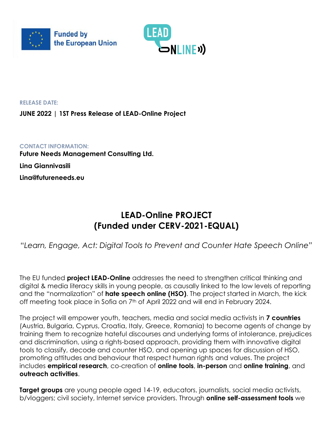



**RELEASE DATE:**

**JUNE 2022 | 1ST Press Release of LEAD-Online Project**

**CONTACT INFORMATION: Future Needs Management Consulting Ltd. Lina Giannivasili Lina@futureneeds.eu**

## **LEAD-Online PROJECT (Funded under CERV-2021-EQUAL)**

"*Learn, Engage, Act: Digital Tools to Prevent and Counter Hate Speech Online"*

The EU funded **project LEAD-Online** addresses the need to strengthen critical thinking and digital & media literacy skills in young people, as causally linked to the low levels of reporting and the "normalization" of **hate speech online (HSO)**. The project started in March, the kick off meeting took place in Sofia on 7<sup>th</sup> of April 2022 and will end in February 2024.

The project will empower youth, teachers, media and social media activists in **7 countries** (Austria, Bulgaria, Cyprus, Croatia, Italy, Greece, Romania) to become agents of change by training them to recognize hateful discourses and underlying forms of intolerance, prejudices and discrimination, using a rights-based approach, providing them with innovative digital tools to classify, decode and counter HSO, and opening up spaces for discussion of HSO, promoting attitudes and behaviour that respect human rights and values. The project includes **empirical research**, co-creation of **online tools**, **in-person** and **online training**, and **outreach activities**.

**Target groups** are young people aged 14-19, educators, journalists, social media activists, b/vloggers; civil society, Internet service providers. Through **online self-assessment tools** we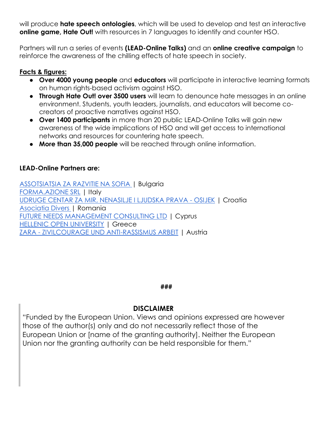will produce **hate speech ontologies**, which will be used to develop and test an interactive **online game, Hate Out!** with resources in 7 languages to identify and counter HSO.

Partners will run a series of events **(LEAD-Online Talks)** and an **online creative campaign** to reinforce the awareness of the chilling effects of hate speech in society.

### **Facts & figures:**

- **Over 4000 young people** and **educators** will participate in interactive learning formats on human rights-based activism against HSO.
- **Through Hate Out! over 3500 users** will learn to denounce hate messages in an online environment. Students, youth leaders, journalists, and educators will become cocreators of proactive narratives against HSO.
- **Over 1400 participants** in more than 20 public LEAD-Online Talks will gain new awareness of the wide implications of HSO and will get access to international networks and resources for countering hate speech.
- **More than 35,000 people** will be reached through online information.

## **LEAD-Online Partners are:**

[ASSOTSIATSIA ZA RAZVITIE NA SOFIA |](https://www.sofia-da.eu/en/) Bulgaria [FORMA.AZIONE SRL](https://www.azione.com/) | Italy [UDRUGE CENTAR ZA MIR, NENASILJE I LJUDSKA PRAVA -](https://www.centar-za-mir.hr/en/) OSIJEK | Croatia [Asociatia Divers |](https://divers.org.ro/) Romania [FUTURE NEEDS MANAGEMENT CONSULTING LTD](https://futureneeds.eu/) | Cyprus **[HELLENIC OPEN UNIVERSITY](https://www.eap.gr/) | Greece** ZARA - [ZIVILCOURAGE UND ANTI-RASSISMUS ARBEIT](https://www.zara.or.at/en/) | Austria

#### **###**

## **DISCLAIMER**

"Funded by the European Union. Views and opinions expressed are however those of the author(s) only and do not necessarily reflect those of the European Union or [name of the granting authority]. Neither the European Union nor the granting authority can be held responsible for them."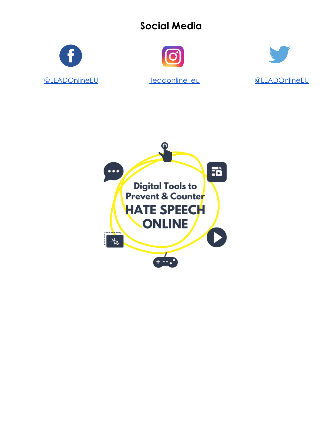# **Social Media**





[@LEADOnlineEU](https://www.facebook.com/LEADOnlineEU) [leadonline\\_eu](https://www.instagram.com/leadonline_eu/) [@LEADOnlineEU](https://twitter.com/LEADOnlineEU)